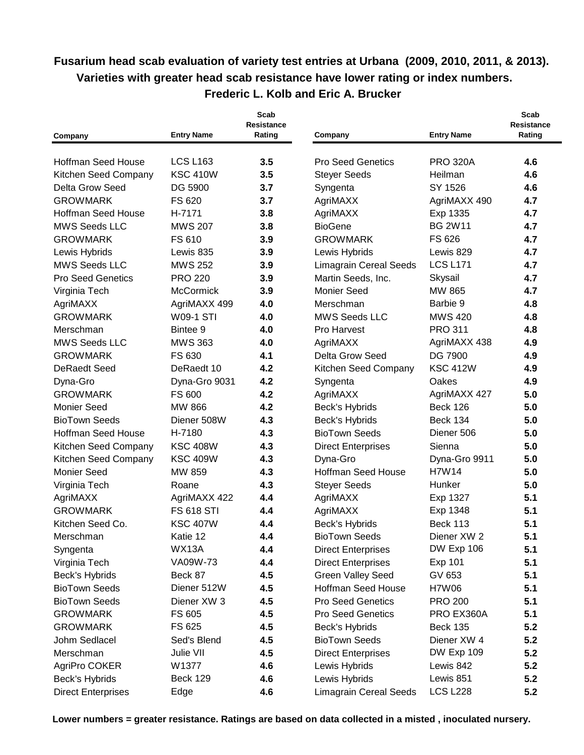## **Fusarium head scab evaluation of variety test entries at Urbana (2009, 2010, 2011, & 2013). Varieties with greater head scab resistance have lower rating or index numbers. Frederic L. Kolb and Eric A. Brucker**

| Company                   | <b>Entry Name</b> | Scab<br><b>Resistance</b><br>Rating | Company                       | <b>Entry Name</b> | Scab<br>Resistance<br>Rating |
|---------------------------|-------------------|-------------------------------------|-------------------------------|-------------------|------------------------------|
|                           |                   |                                     |                               |                   |                              |
| <b>Hoffman Seed House</b> | <b>LCS L163</b>   | 3.5                                 | <b>Pro Seed Genetics</b>      | <b>PRO 320A</b>   | 4.6                          |
| Kitchen Seed Company      | <b>KSC 410W</b>   | 3.5                                 | <b>Steyer Seeds</b>           | Heilman           | 4.6                          |
| Delta Grow Seed           | DG 5900           | 3.7                                 | Syngenta                      | SY 1526           | 4.6                          |
| <b>GROWMARK</b>           | FS 620            | 3.7                                 | AgriMAXX                      | AgriMAXX 490      | 4.7                          |
| <b>Hoffman Seed House</b> | H-7171            | 3.8                                 | AgriMAXX                      | Exp 1335          | 4.7                          |
| <b>MWS Seeds LLC</b>      | <b>MWS 207</b>    | 3.8                                 | <b>BioGene</b>                | <b>BG 2W11</b>    | 4.7                          |
| <b>GROWMARK</b>           | FS 610            | 3.9                                 | <b>GROWMARK</b>               | FS 626            | 4.7                          |
| Lewis Hybrids             | Lewis 835         | 3.9                                 | Lewis Hybrids                 | Lewis 829         | 4.7                          |
| <b>MWS Seeds LLC</b>      | <b>MWS 252</b>    | 3.9                                 | <b>Limagrain Cereal Seeds</b> | <b>LCS L171</b>   | 4.7                          |
| <b>Pro Seed Genetics</b>  | <b>PRO 220</b>    | 3.9                                 | Martin Seeds, Inc.            | Skysail           | 4.7                          |
| Virginia Tech             | McCormick         | 3.9                                 | <b>Monier Seed</b>            | MW 865            | 4.7                          |
| AgriMAXX                  | AgriMAXX 499      | 4.0                                 | Merschman                     | Barbie 9          | 4.8                          |
| <b>GROWMARK</b>           | <b>W09-1 STI</b>  | 4.0                                 | <b>MWS Seeds LLC</b>          | <b>MWS 420</b>    | 4.8                          |
| Merschman                 | Bintee 9          | 4.0                                 | Pro Harvest                   | <b>PRO 311</b>    | 4.8                          |
| <b>MWS Seeds LLC</b>      | <b>MWS 363</b>    | 4.0                                 | AgriMAXX                      | AgriMAXX 438      | 4.9                          |
| <b>GROWMARK</b>           | FS 630            | 4.1                                 | Delta Grow Seed               | DG 7900           | 4.9                          |
| <b>DeRaedt Seed</b>       | DeRaedt 10        | 4.2                                 | Kitchen Seed Company          | <b>KSC 412W</b>   | 4.9                          |
| Dyna-Gro                  | Dyna-Gro 9031     | 4.2                                 | Syngenta                      | Oakes             | 4.9                          |
| <b>GROWMARK</b>           | FS 600            | 4.2                                 | AgriMAXX                      | AgriMAXX 427      | 5.0                          |
| <b>Monier Seed</b>        | <b>MW 866</b>     | 4.2                                 | Beck's Hybrids                | <b>Beck 126</b>   | 5.0                          |
| <b>BioTown Seeds</b>      | Diener 508W       | 4.3                                 | Beck's Hybrids                | <b>Beck 134</b>   | 5.0                          |
| <b>Hoffman Seed House</b> | H-7180            | 4.3                                 | <b>BioTown Seeds</b>          | Diener 506        | 5.0                          |
| Kitchen Seed Company      | <b>KSC 408W</b>   | 4.3                                 | <b>Direct Enterprises</b>     | Sienna            | 5.0                          |
| Kitchen Seed Company      | <b>KSC 409W</b>   | 4.3                                 | Dyna-Gro                      | Dyna-Gro 9911     | 5.0                          |
| <b>Monier Seed</b>        | MW 859            | 4.3                                 | <b>Hoffman Seed House</b>     | H7W14             | 5.0                          |
| Virginia Tech             | Roane             | 4.3                                 | <b>Steyer Seeds</b>           | Hunker            | 5.0                          |
| AgriMAXX                  | AgriMAXX 422      | 4.4                                 | AgriMAXX                      | Exp 1327          | 5.1                          |
| <b>GROWMARK</b>           | <b>FS 618 STI</b> | 4.4                                 | AgriMAXX                      | Exp 1348          | 5.1                          |
| Kitchen Seed Co.          | <b>KSC 407W</b>   | 4.4                                 | Beck's Hybrids                | <b>Beck 113</b>   | 5.1                          |
| Merschman                 | Katie 12          | 4.4                                 | <b>BioTown Seeds</b>          | Diener XW 2       | 5.1                          |
| Syngenta                  | WX13A             | 4.4                                 | <b>Direct Enterprises</b>     | DW Exp 106        | 5.1                          |
| Virginia Tech             | VA09W-73          | 4.4                                 | <b>Direct Enterprises</b>     | Exp 101           | 5.1                          |
| Beck's Hybrids            | Beck 87           | 4.5                                 | <b>Green Valley Seed</b>      | GV 653            | 5.1                          |
| <b>BioTown Seeds</b>      | Diener 512W       | 4.5                                 | <b>Hoffman Seed House</b>     | <b>H7W06</b>      | 5.1                          |
| <b>BioTown Seeds</b>      | Diener XW 3       | 4.5                                 | <b>Pro Seed Genetics</b>      | <b>PRO 200</b>    | 5.1                          |
| <b>GROWMARK</b>           | FS 605            | 4.5                                 | <b>Pro Seed Genetics</b>      | PRO EX360A        | 5.1                          |
| <b>GROWMARK</b>           | FS 625            | 4.5                                 | Beck's Hybrids                | <b>Beck 135</b>   | 5.2                          |
| Johm Sedlacel             | Sed's Blend       | 4.5                                 | <b>BioTown Seeds</b>          | Diener XW 4       | 5.2                          |
| Merschman                 | Julie VII         | 4.5                                 | <b>Direct Enterprises</b>     | DW Exp 109        | 5.2                          |
| AgriPro COKER             | W1377             | 4.6                                 | Lewis Hybrids                 | Lewis 842         | 5.2                          |
| Beck's Hybrids            | <b>Beck 129</b>   | 4.6                                 | Lewis Hybrids                 | Lewis 851         | 5.2                          |
| <b>Direct Enterprises</b> | Edge              | 4.6                                 | <b>Limagrain Cereal Seeds</b> | <b>LCS L228</b>   | 5.2                          |

**Lower numbers = greater resistance. Ratings are based on data collected in a misted , inoculated nursery.**